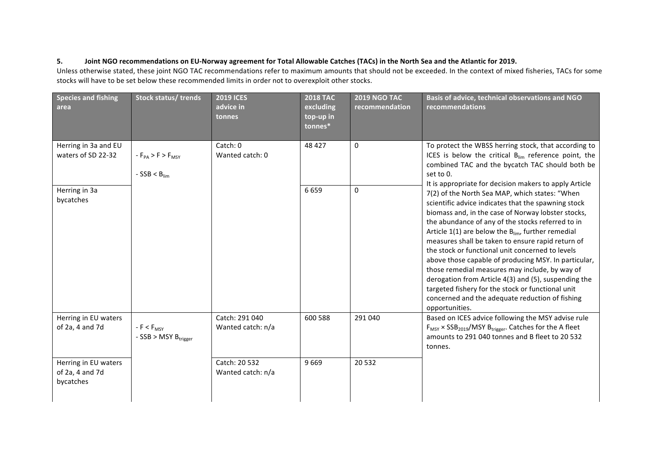## 5. **Ioint NGO recommendations on EU-Norway agreement for Total Allowable Catches (TACs) in the North Sea and the Atlantic for 2019.**

Unless otherwise stated, these joint NGO TAC recommendations refer to maximum amounts that should not be exceeded. In the context of mixed fisheries, TACs for some stocks will have to be set below these recommended limits in order not to overexploit other stocks.

| <b>Species and fishing</b><br>area                   | <b>Stock status/ trends</b>                        | <b>2019 ICES</b><br>advice in<br>tonnes | <b>2018 TAC</b><br>excluding<br>top-up in<br>tonnes* | <b>2019 NGO TAC</b><br>recommendation | Basis of advice, technical observations and NGO<br>recommendations                                                                                                                                                                                                                                                                                                                                                                                                                                                                                                                                                                                                                                                                                  |
|------------------------------------------------------|----------------------------------------------------|-----------------------------------------|------------------------------------------------------|---------------------------------------|-----------------------------------------------------------------------------------------------------------------------------------------------------------------------------------------------------------------------------------------------------------------------------------------------------------------------------------------------------------------------------------------------------------------------------------------------------------------------------------------------------------------------------------------------------------------------------------------------------------------------------------------------------------------------------------------------------------------------------------------------------|
| Herring in 3a and EU<br>waters of SD 22-32           | $-F_{PA}$ > F > $F_{MSY}$<br>$-SSB < B_{lim}$      | Catch: 0<br>Wanted catch: 0             | 48 427                                               | $\Omega$                              | To protect the WBSS herring stock, that according to<br>ICES is below the critical $B_{lim}$ reference point, the<br>combined TAC and the bycatch TAC should both be<br>set to 0.                                                                                                                                                                                                                                                                                                                                                                                                                                                                                                                                                                   |
| Herring in 3a<br>bycatches                           |                                                    |                                         | 6659                                                 | $\mathbf 0$                           | It is appropriate for decision makers to apply Article<br>7(2) of the North Sea MAP, which states: "When<br>scientific advice indicates that the spawning stock<br>biomass and, in the case of Norway lobster stocks,<br>the abundance of any of the stocks referred to in<br>Article $1(1)$ are below the B <sub>lim</sub> , further remedial<br>measures shall be taken to ensure rapid return of<br>the stock or functional unit concerned to levels<br>above those capable of producing MSY. In particular,<br>those remedial measures may include, by way of<br>derogation from Article 4(3) and (5), suspending the<br>targeted fishery for the stock or functional unit<br>concerned and the adequate reduction of fishing<br>opportunities. |
| Herring in EU waters<br>of 2a, 4 and 7d              | $-F < F_{MSY}$<br>- SSB > MSY B <sub>trigger</sub> | Catch: 291 040<br>Wanted catch: n/a     | 600 588                                              | 291 040                               | Based on ICES advice following the MSY advise rule<br>F <sub>MSY</sub> × SSB <sub>2019</sub> /MSY B <sub>trigger</sub> . Catches for the A fleet<br>amounts to 291 040 tonnes and B fleet to 20 532<br>tonnes.                                                                                                                                                                                                                                                                                                                                                                                                                                                                                                                                      |
| Herring in EU waters<br>of 2a, 4 and 7d<br>bycatches |                                                    | Catch: 20 532<br>Wanted catch: n/a      | 9669                                                 | 20532                                 |                                                                                                                                                                                                                                                                                                                                                                                                                                                                                                                                                                                                                                                                                                                                                     |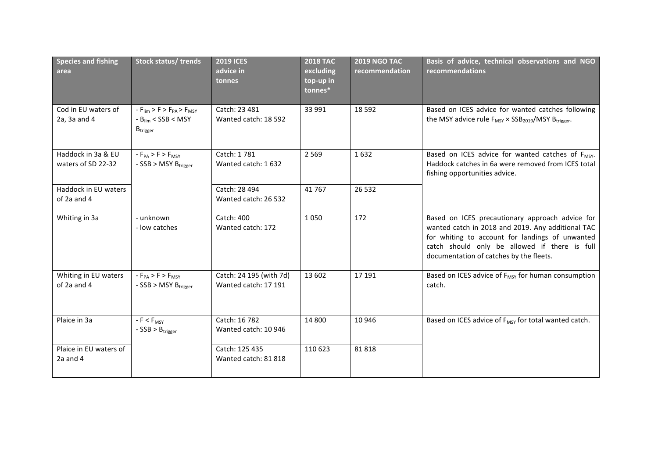| <b>Species and fishing</b><br>area       | Stock status/ trends                                                                                                    | <b>2019 ICES</b><br>advice in<br>tonnes         | <b>2018 TAC</b><br>excluding<br>top-up in<br>tonnes* | <b>2019 NGO TAC</b><br>recommendation | Basis of advice, technical observations and NGO<br>recommendations                                                                                                                                                                                  |
|------------------------------------------|-------------------------------------------------------------------------------------------------------------------------|-------------------------------------------------|------------------------------------------------------|---------------------------------------|-----------------------------------------------------------------------------------------------------------------------------------------------------------------------------------------------------------------------------------------------------|
| Cod in EU waters of<br>2a, 3a and 4      | $-F_{\text{lim}}$ > F > $F_{\text{PA}}$ > $F_{\text{MSY}}$<br>$-B_{lim} < SSB < MSY$<br>$\mathsf{B}_{\mathsf{trigger}}$ | Catch: 23 481<br>Wanted catch: 18 592           | 33 991                                               | 18 5 92                               | Based on ICES advice for wanted catches following<br>the MSY advice rule $F_{MSY} \times SSB_{2019} / MSY B_{trigger}$ .                                                                                                                            |
| Haddock in 3a & EU<br>waters of SD 22-32 | $-F_{PA}$ > $F$ > $F_{MSY}$<br>- SSB > MSY B <sub>trigger</sub>                                                         | Catch: 1781<br>Wanted catch: 1632               | 2 5 6 9                                              | 1632                                  | Based on ICES advice for wanted catches of F <sub>MSY</sub> .<br>Haddock catches in 6a were removed from ICES total<br>fishing opportunities advice.                                                                                                |
| Haddock in EU waters<br>of 2a and 4      |                                                                                                                         | Catch: 28 494<br>Wanted catch: 26 532           | 41767                                                | 26 5 32                               |                                                                                                                                                                                                                                                     |
| Whiting in 3a                            | - unknown<br>- low catches                                                                                              | Catch: 400<br>Wanted catch: 172                 | 1050                                                 | 172                                   | Based on ICES precautionary approach advice for<br>wanted catch in 2018 and 2019. Any additional TAC<br>for whiting to account for landings of unwanted<br>catch should only be allowed if there is full<br>documentation of catches by the fleets. |
| Whiting in EU waters<br>of 2a and 4      | $-F_{PA}$ > F > $F_{MSY}$<br>- SSB > MSY B <sub>trigger</sub>                                                           | Catch: 24 195 (with 7d)<br>Wanted catch: 17 191 | 13 602                                               | 17 191                                | Based on ICES advice of F <sub>MSY</sub> for human consumption<br>catch.                                                                                                                                                                            |
| Plaice in 3a                             | $-F < F_{MSY}$<br>$-SSB > B_{trigger}$                                                                                  | Catch: 16 782<br>Wanted catch: 10 946           | 14 800                                               | 10 946                                | Based on ICES advice of F <sub>MSY</sub> for total wanted catch.                                                                                                                                                                                    |
| Plaice in EU waters of<br>2a and 4       |                                                                                                                         | Catch: 125 435<br>Wanted catch: 81 818          | 110 623                                              | 81818                                 |                                                                                                                                                                                                                                                     |